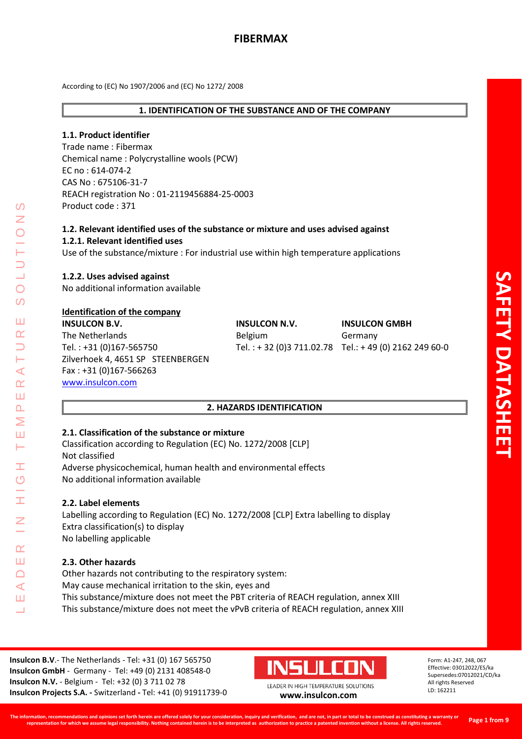### **1. IDENTIFICATION OF THE SUBSTANCE AND OF THE COMPANY**

### **1.1. Product identifier**

Trade name : Fibermax Chemical name : Polycrystalline wools (PCW) EC no : 614-074-2 CAS No : 675106-31-7 REACH registration No : 01-2119456884-25-0003 Product code : 371

# **1.2. Relevant identified uses of the substance or mixture and uses advised against 1.2.1. Relevant identified uses**

Use of the substance/mixture : For industrial use within high temperature applications

### **1.2.2. Uses advised against**

No additional information available

### **Identification of the company**

**INSULCON B.V. INSULCON N.V. INSULCON GMBH** The Netherlands **Belgium** Belgium Germany Tel. : +31 (0)167-565750 Tel. : + 32 (0)3 711.02.78 Tel.: + 49 (0) 2162 249 60-0 Zilverhoek 4, 4651 SP STEENBERGEN Fax : +31 (0)167-566263 [www.insulcon.com](http://www.insulcon.com/)

# **2. HAZARDS IDENTIFICATION**

### **2.1. Classification of the substance or mixture**

Classification according to Regulation (EC) No. 1272/2008 [CLP] Not classified Adverse physicochemical, human health and environmental effects No additional information available

#### **2.2. Label elements**

LEADER IN HIGH TEMPERATURE SOLUTIONS

Ŧ  $\overline{C}$ 

 $\alpha$ Ш  $\Box$  $\blacktriangleleft$ Ш  $\overline{\phantom{0}}$ 

 $\blacktriangleleft$  $\alpha$ Ш  $\overline{\mathbf{r}}$ Σ Ш Н

 $\Omega$ 

 $\bigcirc$  $\Omega$ 

Ш  $\alpha$ 

> Labelling according to Regulation (EC) No. 1272/2008 [CLP] Extra labelling to display Extra classification(s) to display No labelling applicable

### **2.3. Other hazards**

Other hazards not contributing to the respiratory system: May cause mechanical irritation to the skin, eyes and This substance/mixture does not meet the PBT criteria of REACH regulation, annex XIII This substance/mixture does not meet the vPvB criteria of REACH regulation, annex XIII

**Insulcon B.V**.- The Netherlands - Tel: +31 (0) 167 565750 **Insulcon GmbH** - Germany - Tel: +49 (0) 2131 408548-0 **Insulcon N.V.** - Belgium - Tel: +32 (0) 3 711 02 78 **Insulcon Projects S.A. -** Switzerland **-** Tel: +41 (0) 91911739-0 **[www.insulcon.com](http://www.insulcon.com/)**

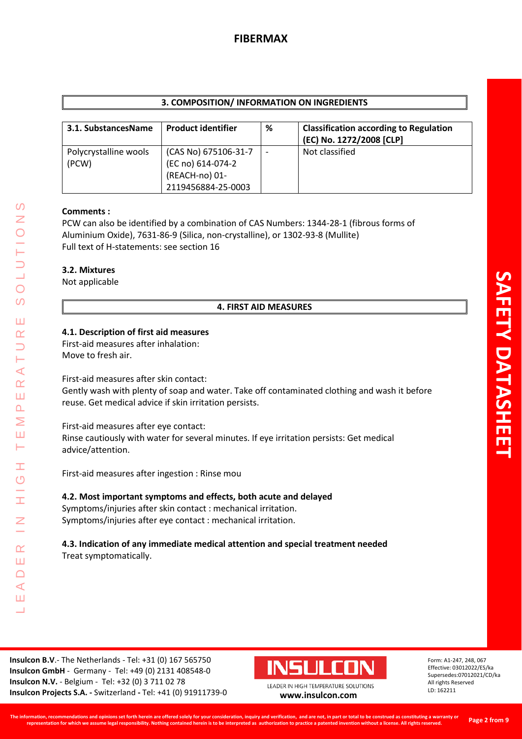| 3. COMPOSITION/ INFORMATION ON INGREDIENTS |                                                                                   |   |                                                                           |  |  |  |  |
|--------------------------------------------|-----------------------------------------------------------------------------------|---|---------------------------------------------------------------------------|--|--|--|--|
| 3.1. SubstancesName                        | <b>Product identifier</b>                                                         | % | <b>Classification according to Regulation</b><br>(EC) No. 1272/2008 [CLP] |  |  |  |  |
| Polycrystalline wools<br>(PCW)             | (CAS No) 675106-31-7<br>(EC no) 614-074-2<br>(REACH-no) 01-<br>2119456884-25-0003 |   | Not classified                                                            |  |  |  |  |

### **Comments :**

PCW can also be identified by a combination of CAS Numbers: 1344-28-1 (fibrous forms of Aluminium Oxide), 7631-86-9 (Silica, non-crystalline), or 1302-93-8 (Mullite) Full text of H-statements: see section 16

## **3.2. Mixtures**

Not applicable

LEADER IN HIGH TEMPERATURE SOLUTIONS

Ŧ  $\overline{O}$ 

I

 $\alpha$ Ш  $\Box$  $\prec$ Ш ┙

 $\Omega$ Z

 $\overline{O}$  $\Omega$ 

Ш  $\underline{\alpha}$  $\overline{\phantom{0}}$ H  $\prec$  $\alpha$ Ш  $\Delta$ Σ Ш Н

# **4. FIRST AID MEASURES**

### **4.1. Description of first aid measures**

First-aid measures after inhalation: Move to fresh air.

First-aid measures after skin contact:

Gently wash with plenty of soap and water. Take off contaminated clothing and wash it before reuse. Get medical advice if skin irritation persists.

First-aid measures after eye contact: Rinse cautiously with water for several minutes. If eye irritation persists: Get medical advice/attention.

First-aid measures after ingestion : Rinse mou

**4.2. Most important symptoms and effects, both acute and delayed** Symptoms/injuries after skin contact : mechanical irritation. Symptoms/injuries after eye contact : mechanical irritation.

# **4.3. Indication of any immediate medical attention and special treatment needed** Treat symptomatically.

**Insulcon B.V**.- The Netherlands - Tel: +31 (0) 167 565750 **Insulcon GmbH** - Germany - Tel: +49 (0) 2131 408548-0 **Insulcon N.V.** - Belgium - Tel: +32 (0) 3 711 02 78 **Insulcon Projects S.A. -** Switzerland **-** Tel: +41 (0) 91911739-0 **[www.insulcon.com](http://www.insulcon.com/)**

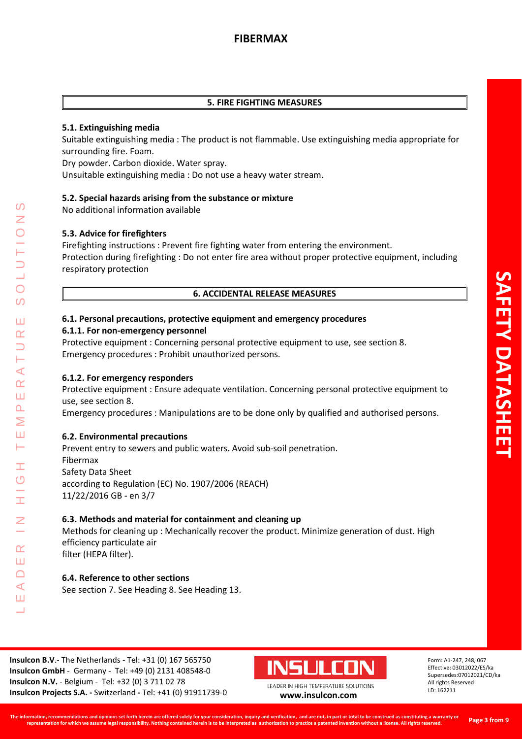## **5. FIRE FIGHTING MEASURES**

# **5.1. Extinguishing media**

Suitable extinguishing media : The product is not flammable. Use extinguishing media appropriate for surrounding fire. Foam.

Dry powder. Carbon dioxide. Water spray.

Unsuitable extinguishing media : Do not use a heavy water stream.

### **5.2. Special hazards arising from the substance or mixture**

No additional information available

### **5.3. Advice for firefighters**

Firefighting instructions : Prevent fire fighting water from entering the environment. Protection during firefighting : Do not enter fire area without proper protective equipment, including respiratory protection

# **6. ACCIDENTAL RELEASE MEASURES**

### **6.1. Personal precautions, protective equipment and emergency procedures**

### **6.1.1. For non-emergency personnel**

Protective equipment : Concerning personal protective equipment to use, see section 8. Emergency procedures : Prohibit unauthorized persons.

### **6.1.2. For emergency responders**

Protective equipment : Ensure adequate ventilation. Concerning personal protective equipment to use, see section 8.

Emergency procedures : Manipulations are to be done only by qualified and authorised persons.

### **6.2. Environmental precautions**

LEADER IN HIGH TEMPERATURE SOLUTIONS

Ŧ  $\overline{O}$ 

 $\alpha$ Ш  $\Box$  $\blacktriangleleft$ Ш  $\overline{\phantom{0}}$ 

 $\prec$  $\alpha$ Ш  $\overline{\mathbf{r}}$ Σ Ш Н

 $\Omega$ 

 $\overline{O}$  $\Omega$ 

Ш  $\alpha$ 

> Prevent entry to sewers and public waters. Avoid sub-soil penetration. Fibermax Safety Data Sheet according to Regulation (EC) No. 1907/2006 (REACH) 11/22/2016 GB - en 3/7

### **6.3. Methods and material for containment and cleaning up**

Methods for cleaning up : Mechanically recover the product. Minimize generation of dust. High efficiency particulate air filter (HEPA filter).

### **6.4. Reference to other sections**

See section 7. See Heading 8. See Heading 13.

**Insulcon B.V**.- The Netherlands - Tel: +31 (0) 167 565750 **Insulcon GmbH** - Germany - Tel: +49 (0) 2131 408548-0 **Insulcon N.V.** - Belgium - Tel: +32 (0) 3 711 02 78 **Insulcon Projects S.A. -** Switzerland **-** Tel: +41 (0) 91911739-0 **[www.insulcon.com](http://www.insulcon.com/)**

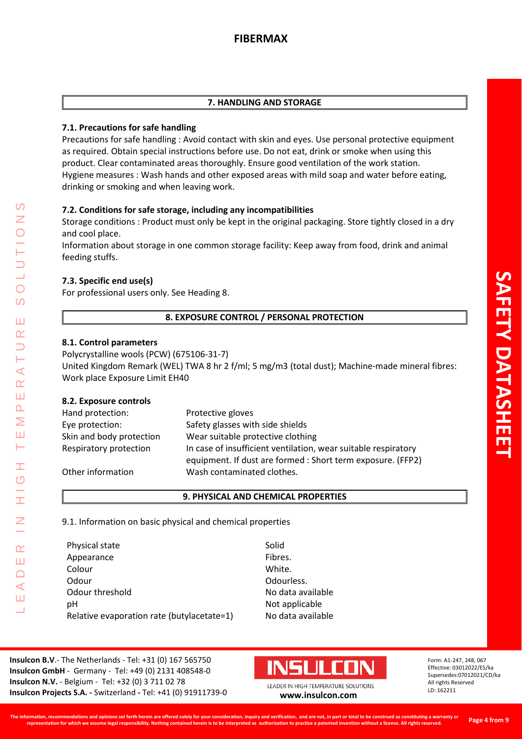### **7. HANDLING AND STORAGE**

## **7.1. Precautions for safe handling**

Precautions for safe handling : Avoid contact with skin and eyes. Use personal protective equipment as required. Obtain special instructions before use. Do not eat, drink or smoke when using this product. Clear contaminated areas thoroughly. Ensure good ventilation of the work station. Hygiene measures : Wash hands and other exposed areas with mild soap and water before eating, drinking or smoking and when leaving work.

# **7.2. Conditions for safe storage, including any incompatibilities**

Storage conditions : Product must only be kept in the original packaging. Store tightly closed in a dry and cool place.

Information about storage in one common storage facility: Keep away from food, drink and animal feeding stuffs.

# **7.3. Specific end use(s)**

For professional users only. See Heading 8.

# **8. EXPOSURE CONTROL / PERSONAL PROTECTION**

### **8.1. Control parameters**

Polycrystalline wools (PCW) (675106-31-7)

United Kingdom Remark (WEL) TWA 8 hr 2 f/ml; 5 mg/m3 (total dust); Machine-made mineral fibres: Work place Exposure Limit EH40

### **8.2. Exposure controls**

LEADER IN HIGH TEMPERATURE SOLUTIONS

Ŧ  $\overline{O}$ 

 $\alpha$ Ш  $\Box$  $\blacktriangleleft$ Ш  $\overline{\phantom{0}}$ 

 $\prec$  $\alpha$ Ш  $\overline{\mathbf{r}}$ Σ Ш Н

 $\Omega$ Z

 $\bigcirc$  $\overline{O}$ 

Ш  $\alpha$ 

| Hand protection:         | Protective gloves                                                                                                             |
|--------------------------|-------------------------------------------------------------------------------------------------------------------------------|
| Eye protection:          | Safety glasses with side shields                                                                                              |
| Skin and body protection | Wear suitable protective clothing                                                                                             |
| Respiratory protection   | In case of insufficient ventilation, wear suitable respiratory<br>equipment. If dust are formed : Short term exposure. (FFP2) |
| Other information        | Wash contaminated clothes.                                                                                                    |

#### **9. PHYSICAL AND CHEMICAL PROPERTIES**

9.1. Information on basic physical and chemical properties

| Physical state                             |
|--------------------------------------------|
| Appearance                                 |
| Colour                                     |
| Odour                                      |
| Odour threshold                            |
| рH                                         |
| Relative evaporation rate (butylacetate=1) |

Solid Fibres. White. Odourless. No data available Not applicable No data available

**Insulcon B.V**.- The Netherlands - Tel: +31 (0) 167 565750 **Insulcon GmbH** - Germany - Tel: +49 (0) 2131 408548-0 **Insulcon N.V.** - Belgium - Tel: +32 (0) 3 711 02 78 **Insulcon Projects S.A. -** Switzerland **-** Tel: +41 (0) 91911739-0 **[www.insulcon.com](http://www.insulcon.com/)**

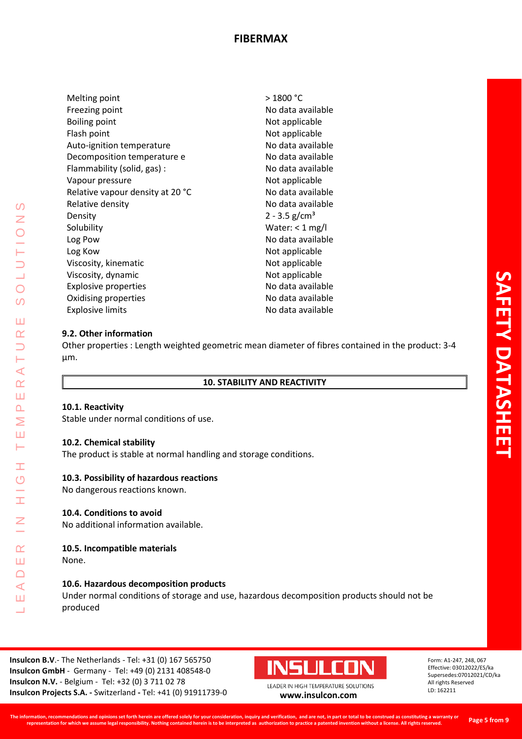Melting point Freezing point Boiling point Flash point Auto-ignition temperature Decomposition temperature e Flammability (solid, gas) : Vapour pressure Relative vapour density at 20 °C Relative density Density **Solubility** Log Pow Log Kow Viscosity, kinematic Viscosity, dynamic Explosive properties Oxidising properties Explosive limits

> 1800 °C No data available Not applicable Not applicable No data available No data available No data available Not applicable No data available No data available  $2 - 3.5$  g/cm<sup>3</sup> Water: < 1 mg/l No data available Not applicable Not applicable Not applicable No data available No data available No data available

### **9.2. Other information**

Other properties : Length weighted geometric mean diameter of fibres contained in the product: 3-4 µm.

### **10. STABILITY AND REACTIVITY**

#### **10.1. Reactivity**

LEADER IN HIGH TEMPERATURE SOLUTIONS

Ŧ  $\overline{O}$ 

 $\alpha$ Ш  $\cap$  $\blacktriangleleft$ Ш  $\overline{\phantom{0}}$ 

 $\Omega$  $\overline{Z}$ 

 $\overline{O}$  $\Omega$ 

ПT  $\alpha$  $\overline{\phantom{0}}$ ш  $\blacktriangleleft$  $\alpha$ Ш  $\Delta$ Σ Ш  $\longmapsto$ 

Stable under normal conditions of use.

#### **10.2. Chemical stability**

The product is stable at normal handling and storage conditions.

#### **10.3. Possibility of hazardous reactions**

No dangerous reactions known.

### **10.4. Conditions to avoid**

No additional information available.

#### **10.5. Incompatible materials**

None.

### **10.6. Hazardous decomposition products**

Under normal conditions of storage and use, hazardous decomposition products should not be produced

**Insulcon B.V**.- The Netherlands - Tel: +31 (0) 167 565750 **Insulcon GmbH** - Germany - Tel: +49 (0) 2131 408548-0 **Insulcon N.V.** - Belgium - Tel: +32 (0) 3 711 02 78 **Insulcon Projects S.A. -** Switzerland **-** Tel: +41 (0) 91911739-0 **[www.insulcon.com](http://www.insulcon.com/)**

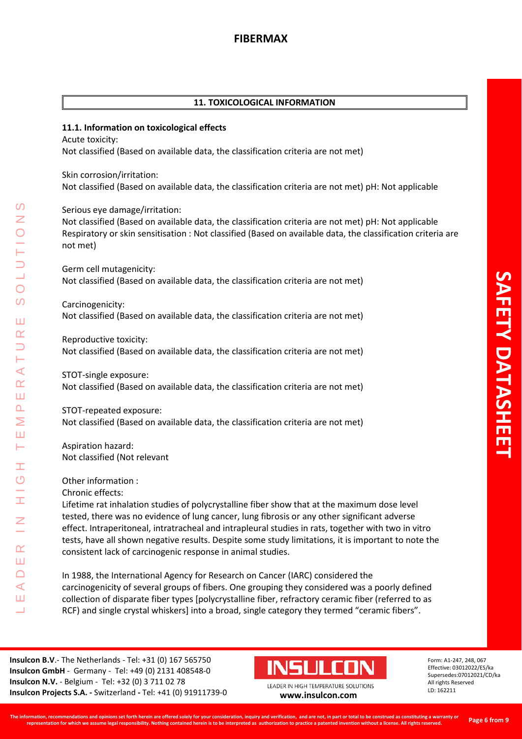## **11. TOXICOLOGICAL INFORMATION**

### **11.1. Information on toxicological effects**

Acute toxicity: Not classified (Based on available data, the classification criteria are not met)

Skin corrosion/irritation: Not classified (Based on available data, the classification criteria are not met) pH: Not applicable

Serious eye damage/irritation:

Not classified (Based on available data, the classification criteria are not met) pH: Not applicable Respiratory or skin sensitisation : Not classified (Based on available data, the classification criteria are not met)

Germ cell mutagenicity: Not classified (Based on available data, the classification criteria are not met)

Carcinogenicity: Not classified (Based on available data, the classification criteria are not met)

Reproductive toxicity: Not classified (Based on available data, the classification criteria are not met)

STOT-single exposure: Not classified (Based on available data, the classification criteria are not met)

STOT-repeated exposure: Not classified (Based on available data, the classification criteria are not met)

Aspiration hazard: Not classified (Not relevant

Other information :

LEADER IN HIGH TEMPERATURE SOLUTIONS

Ŧ  $\overline{O}$ 

H

 $\alpha$ Ш  $\Box$  $\prec$ Ш ┙

 $\prec$  $\underline{\alpha}$ Ш  $\Delta$ Σ Ш Н

 $\Omega$ Z

 $\overline{O}$  $\Omega$ 

Ш  $\alpha$ 

Chronic effects:

Lifetime rat inhalation studies of polycrystalline fiber show that at the maximum dose level tested, there was no evidence of lung cancer, lung fibrosis or any other significant adverse effect. Intraperitoneal, intratracheal and intrapleural studies in rats, together with two in vitro tests, have all shown negative results. Despite some study limitations, it is important to note the consistent lack of carcinogenic response in animal studies.

In 1988, the International Agency for Research on Cancer (IARC) considered the carcinogenicity of several groups of fibers. One grouping they considered was a poorly defined collection of disparate fiber types [polycrystalline fiber, refractory ceramic fiber (referred to as RCF) and single crystal whiskers] into a broad, single category they termed "ceramic fibers".

**Insulcon B.V**.- The Netherlands - Tel: +31 (0) 167 565750 **Insulcon GmbH** - Germany - Tel: +49 (0) 2131 408548-0 **Insulcon N.V.** - Belgium - Tel: +32 (0) 3 711 02 78 **Insulcon Projects S.A. -** Switzerland **-** Tel: +41 (0) 91911739-0 **[www.insulcon.com](http://www.insulcon.com/)**

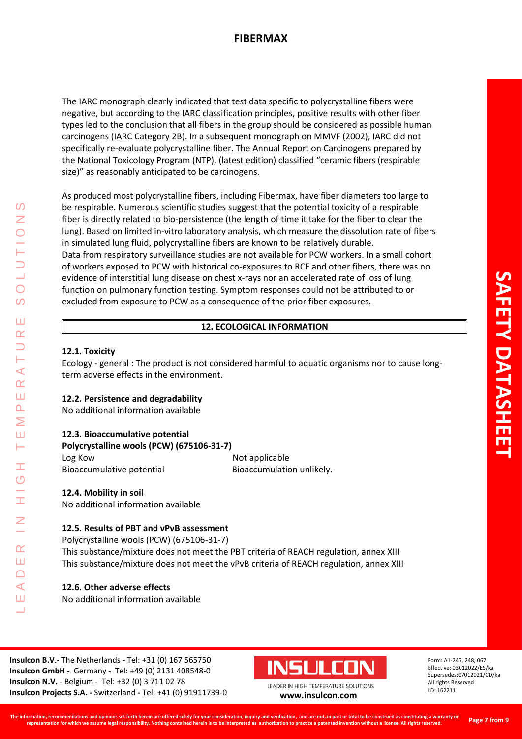The IARC monograph clearly indicated that test data specific to polycrystalline fibers were negative, but according to the IARC classification principles, positive results with other fiber types led to the conclusion that all fibers in the group should be considered as possible human carcinogens (IARC Category 2B). In a subsequent monograph on MMVF (2002), IARC did not specifically re-evaluate polycrystalline fiber. The Annual Report on Carcinogens prepared by the National Toxicology Program (NTP), (latest edition) classified "ceramic fibers (respirable size)" as reasonably anticipated to be carcinogens.

As produced most polycrystalline fibers, including Fibermax, have fiber diameters too large to be respirable. Numerous scientific studies suggest that the potential toxicity of a respirable fiber is directly related to bio-persistence (the length of time it take for the fiber to clear the lung). Based on limited in-vitro laboratory analysis, which measure the dissolution rate of fibers in simulated lung fluid, polycrystalline fibers are known to be relatively durable. Data from respiratory surveillance studies are not available for PCW workers. In a small cohort of workers exposed to PCW with historical co-exposures to RCF and other fibers, there was no evidence of interstitial lung disease on chest x-rays nor an accelerated rate of loss of lung function on pulmonary function testing. Symptom responses could not be attributed to or excluded from exposure to PCW as a consequence of the prior fiber exposures.

# **12. ECOLOGICAL INFORMATION**

### **12.1. Toxicity**

LEADER IN HIGH TEMPERATURE SOLUTIONS

Ŧ  $\overline{O}$ 

 $\alpha$ Ш  $\Box$  $\blacktriangleleft$ Ш  $\overline{\phantom{0}}$ 

 $\Omega$ Z

 $\bigcirc$  $\Omega$ 

Ш  $\alpha$  $\overline{\phantom{0}}$ Н ⋖  $\alpha$ Ш  $\Delta$ Σ Ш Н

Ecology - general : The product is not considered harmful to aquatic organisms nor to cause longterm adverse effects in the environment.

#### **12.2. Persistence and degradability**

No additional information available

#### **12.3. Bioaccumulative potential**

**Polycrystalline wools (PCW) (675106-31-7)**

Log Kow **Not applicable** Bioaccumulative potential Bioaccumulation unlikely.

# **12.4. Mobility in soil**

No additional information available

### **12.5. Results of PBT and vPvB assessment**

Polycrystalline wools (PCW) (675106-31-7)

This substance/mixture does not meet the PBT criteria of REACH regulation, annex XIII This substance/mixture does not meet the vPvB criteria of REACH regulation, annex XIII

### **12.6. Other adverse effects**

No additional information available

**Insulcon B.V**.- The Netherlands - Tel: +31 (0) 167 565750 **Insulcon GmbH** - Germany - Tel: +49 (0) 2131 408548-0 **Insulcon N.V.** - Belgium - Tel: +32 (0) 3 711 02 78 **Insulcon Projects S.A. -** Switzerland **-** Tel: +41 (0) 91911739-0 **[www.insulcon.com](http://www.insulcon.com/)**

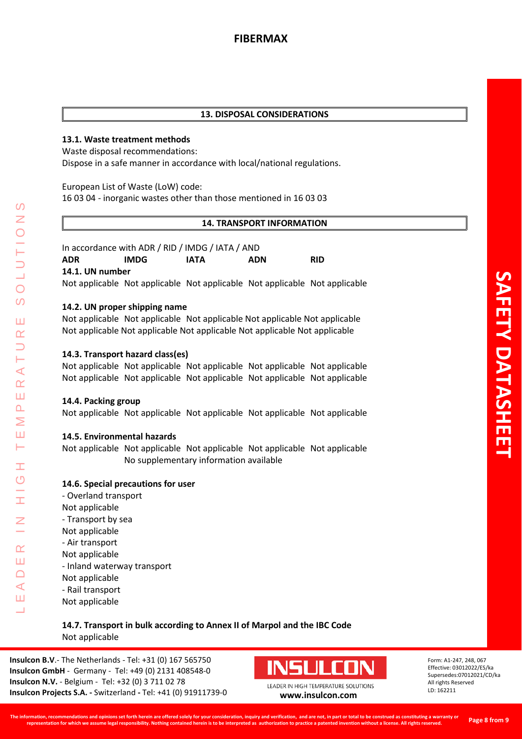## **13. DISPOSAL CONSIDERATIONS**

## **13.1. Waste treatment methods**

Waste disposal recommendations:

Dispose in a safe manner in accordance with local/national regulations.

European List of Waste (LoW) code:

16 03 04 - inorganic wastes other than those mentioned in 16 03 03

### **14. TRANSPORT INFORMATION**

| In accordance with ADR / RID / IMDG / IATA / AND |       |                                                                            |            |            |  |  |  |  |
|--------------------------------------------------|-------|----------------------------------------------------------------------------|------------|------------|--|--|--|--|
| <b>ADR</b>                                       | IMDG. | IATA                                                                       | <b>ADN</b> | <b>RID</b> |  |  |  |  |
| 14.1. UN number                                  |       |                                                                            |            |            |  |  |  |  |
|                                                  |       | Not applicable Not applicable Not applicable Not applicable Not applicable |            |            |  |  |  |  |

### **14.2. UN proper shipping name**

Not applicable Not applicable Not applicable Not applicable Not applicable Not applicable Not applicable Not applicable Not applicable Not applicable

### **14.3. Transport hazard class(es)**

Not applicable Not applicable Not applicable Not applicable Not applicable Not applicable Not applicable Not applicable Not applicable Not applicable

#### **14.4. Packing group**

LEADER IN HIGH TEMPERATURE SOLUTIONS

Ŧ  $\overline{O}$ 

 $\alpha$ Ш  $\Box$  $\blacktriangleleft$ Ш  $\overline{\phantom{0}}$ 

 $\Omega$ Z

 $\overline{O}$ 

 $\Omega$ 

Ш  $\alpha$  $\overline{\phantom{0}}$ H  $\prec$  $\alpha$ Ш  $\Delta$ Σ Ш Н

Not applicable Not applicable Not applicable Not applicable Not applicable

### **14.5. Environmental hazards**

Not applicable Not applicable Not applicable Not applicable Not applicable No supplementary information available

### **14.6. Special precautions for user**

- Overland transport Not applicable - Transport by sea Not applicable - Air transport Not applicable - Inland waterway transport Not applicable - Rail transport Not applicable

# **14.7. Transport in bulk according to Annex II of Marpol and the IBC Code** Not applicable

**Insulcon B.V**.- The Netherlands - Tel: +31 (0) 167 565750 **Insulcon GmbH** - Germany - Tel: +49 (0) 2131 408548-0 **Insulcon N.V.** - Belgium - Tel: +32 (0) 3 711 02 78 **Insulcon Projects S.A. -** Switzerland **-** Tel: +41 (0) 91911739-0 **[www.insulcon.com](http://www.insulcon.com/)**